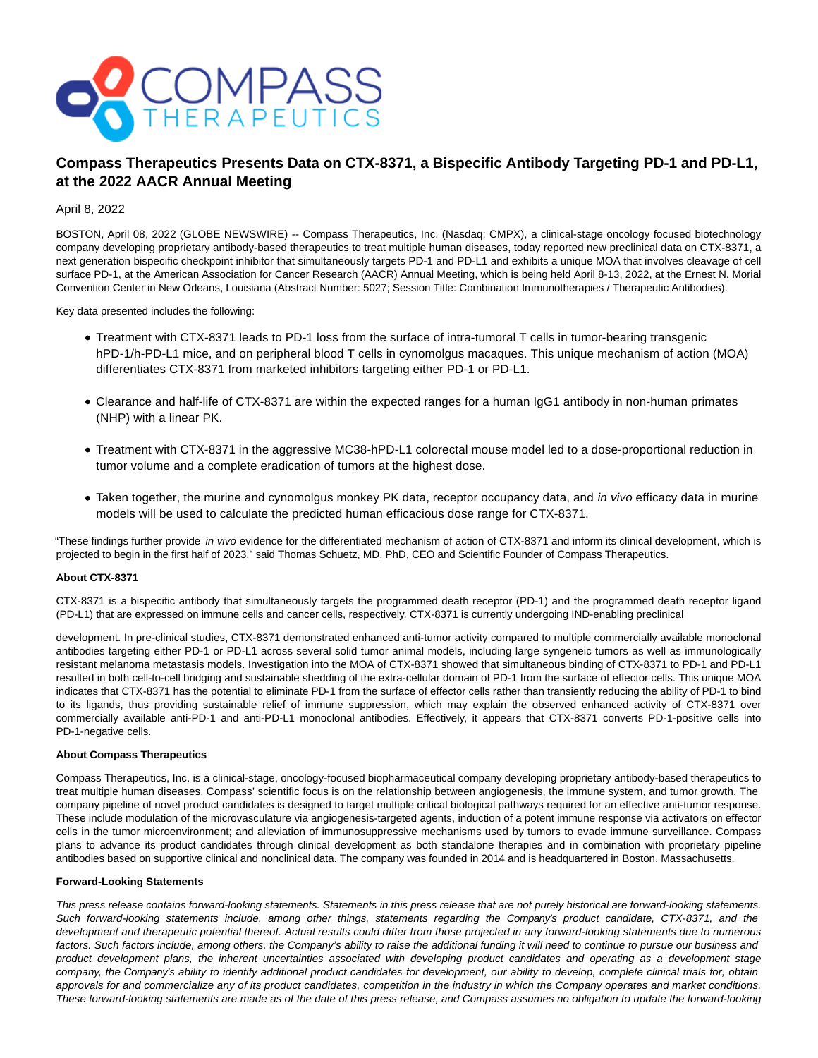

# **Compass Therapeutics Presents Data on CTX-8371, a Bispecific Antibody Targeting PD-1 and PD-L1, at the 2022 AACR Annual Meeting**

## April 8, 2022

BOSTON, April 08, 2022 (GLOBE NEWSWIRE) -- Compass Therapeutics, Inc. (Nasdaq: CMPX), a clinical-stage oncology focused biotechnology company developing proprietary antibody-based therapeutics to treat multiple human diseases, today reported new preclinical data on CTX-8371, a next generation bispecific checkpoint inhibitor that simultaneously targets PD-1 and PD-L1 and exhibits a unique MOA that involves cleavage of cell surface PD-1, at the American Association for Cancer Research (AACR) Annual Meeting, which is being held April 8-13, 2022, at the Ernest N. Morial Convention Center in New Orleans, Louisiana (Abstract Number: 5027; Session Title: Combination Immunotherapies / Therapeutic Antibodies).

Key data presented includes the following:

- Treatment with CTX-8371 leads to PD-1 loss from the surface of intra-tumoral T cells in tumor-bearing transgenic hPD-1/h-PD-L1 mice, and on peripheral blood T cells in cynomolgus macaques. This unique mechanism of action (MOA) differentiates CTX-8371 from marketed inhibitors targeting either PD-1 or PD-L1.
- Clearance and half-life of CTX-8371 are within the expected ranges for a human IgG1 antibody in non-human primates (NHP) with a linear PK.
- Treatment with CTX-8371 in the aggressive MC38-hPD-L1 colorectal mouse model led to a dose-proportional reduction in tumor volume and a complete eradication of tumors at the highest dose.
- Taken together, the murine and cynomolgus monkey PK data, receptor occupancy data, and in vivo efficacy data in murine models will be used to calculate the predicted human efficacious dose range for CTX-8371.

"These findings further provide in vivo evidence for the differentiated mechanism of action of CTX-8371 and inform its clinical development, which is projected to begin in the first half of 2023," said Thomas Schuetz, MD, PhD, CEO and Scientific Founder of Compass Therapeutics.

## **About CTX-8371**

CTX-8371 is a bispecific antibody that simultaneously targets the programmed death receptor (PD-1) and the programmed death receptor ligand (PD-L1) that are expressed on immune cells and cancer cells, respectively. CTX-8371 is currently undergoing IND-enabling preclinical

development. In pre-clinical studies, CTX-8371 demonstrated enhanced anti-tumor activity compared to multiple commercially available monoclonal antibodies targeting either PD-1 or PD-L1 across several solid tumor animal models, including large syngeneic tumors as well as immunologically resistant melanoma metastasis models. Investigation into the MOA of CTX-8371 showed that simultaneous binding of CTX-8371 to PD-1 and PD-L1 resulted in both cell-to-cell bridging and sustainable shedding of the extra-cellular domain of PD-1 from the surface of effector cells. This unique MOA indicates that CTX-8371 has the potential to eliminate PD-1 from the surface of effector cells rather than transiently reducing the ability of PD-1 to bind to its ligands, thus providing sustainable relief of immune suppression, which may explain the observed enhanced activity of CTX-8371 over commercially available anti-PD-1 and anti-PD-L1 monoclonal antibodies. Effectively, it appears that CTX-8371 converts PD-1-positive cells into PD-1-negative cells.

#### **About Compass Therapeutics**

Compass Therapeutics, Inc. is a clinical-stage, oncology-focused biopharmaceutical company developing proprietary antibody-based therapeutics to treat multiple human diseases. Compass' scientific focus is on the relationship between angiogenesis, the immune system, and tumor growth. The company pipeline of novel product candidates is designed to target multiple critical biological pathways required for an effective anti-tumor response. These include modulation of the microvasculature via angiogenesis-targeted agents, induction of a potent immune response via activators on effector cells in the tumor microenvironment; and alleviation of immunosuppressive mechanisms used by tumors to evade immune surveillance. Compass plans to advance its product candidates through clinical development as both standalone therapies and in combination with proprietary pipeline antibodies based on supportive clinical and nonclinical data. The company was founded in 2014 and is headquartered in Boston, Massachusetts.

## **Forward-Looking Statements**

This press release contains forward-looking statements. Statements in this press release that are not purely historical are forward-looking statements. Such forward-looking statements include, among other things, statements regarding the Company's product candidate, CTX-8371, and the development and therapeutic potential thereof. Actual results could differ from those projected in any forward-looking statements due to numerous factors. Such factors include, among others, the Company's ability to raise the additional funding it will need to continue to pursue our business and product development plans, the inherent uncertainties associated with developing product candidates and operating as a development stage company, the Company's ability to identify additional product candidates for development, our ability to develop, complete clinical trials for, obtain approvals for and commercialize any of its product candidates, competition in the industry in which the Company operates and market conditions. These forward-looking statements are made as of the date of this press release, and Compass assumes no obligation to update the forward-looking